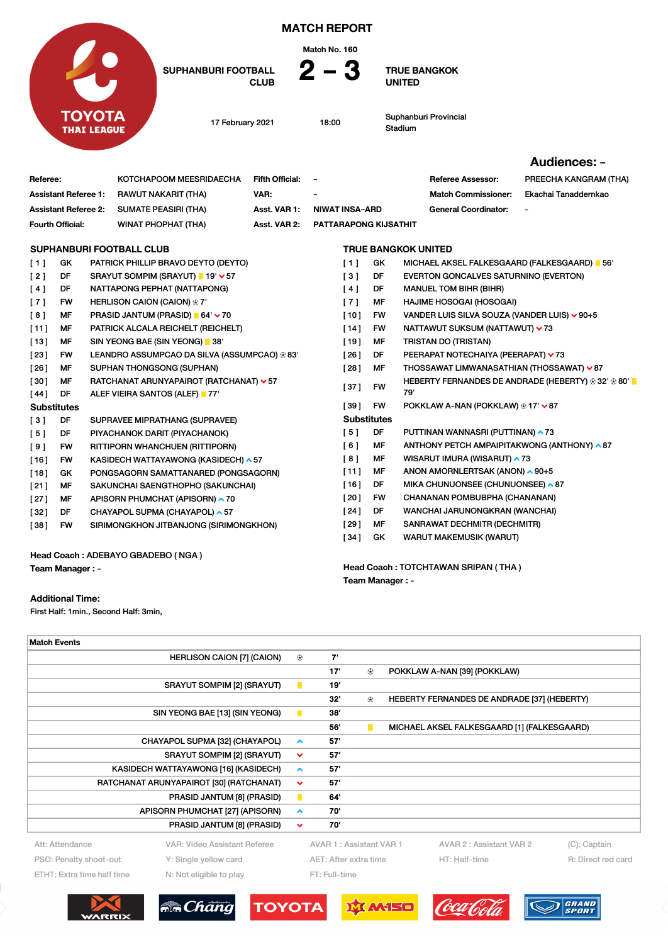|                                     |                                     |                                           |                                 |                                                                          |                        | <b>MATCH REPORT</b><br>Match No. 160 |                                      |                                           |                                                                                           |                       |  |
|-------------------------------------|-------------------------------------|-------------------------------------------|---------------------------------|--------------------------------------------------------------------------|------------------------|--------------------------------------|--------------------------------------|-------------------------------------------|-------------------------------------------------------------------------------------------|-----------------------|--|
|                                     |                                     | <b>SUPHANBURI FOOTBALL</b><br><b>CLUB</b> |                                 | 2 – 3                                                                    |                        |                                      | <b>TRUE BANGKOK</b><br><b>UNITED</b> |                                           |                                                                                           |                       |  |
| <b>TOYOTA</b><br><b>THAI LEAGUE</b> |                                     |                                           |                                 | 17 February 2021                                                         |                        | 18:00                                |                                      |                                           | Suphanburi Provincial<br>Stadium                                                          |                       |  |
|                                     |                                     |                                           |                                 |                                                                          |                        |                                      |                                      |                                           |                                                                                           | Audiences: -          |  |
| Referee:                            |                                     |                                           |                                 | KOTCHAPOOM MEESRIDAECHA                                                  | <b>Fifth Official:</b> | $\overline{\phantom{a}}$             |                                      |                                           | <b>Referee Assessor:</b>                                                                  | PREECHA KANGRAM (THA) |  |
|                                     | <b>Assistant Referee 1:</b>         |                                           |                                 | RAWUT NAKARIT (THA)                                                      | VAR:                   |                                      |                                      |                                           | <b>Match Commissioner:</b>                                                                | Ekachai Tanaddernkao  |  |
|                                     | <b>Assistant Referee 2:</b>         |                                           |                                 | <b>SUMATE PEASIRI (THA)</b>                                              | Asst. VAR 1:           |                                      | <b>NIWAT INSA-ARD</b>                |                                           | <b>General Coordinator:</b>                                                               |                       |  |
|                                     | Fourth Official:                    |                                           |                                 | <b>WINAT PHOPHAT (THA)</b>                                               | Asst. VAR 2:           |                                      | <b>PATTARAPONG KIJSATHIT</b>         |                                           |                                                                                           |                       |  |
|                                     |                                     |                                           | <b>SUPHANBURI FOOTBALL CLUB</b> |                                                                          |                        | <b>TRUE BANGKOK UNITED</b>           |                                      |                                           |                                                                                           |                       |  |
| [1]                                 | GK                                  |                                           |                                 | PATRICK PHILLIP BRAVO DEYTO (DEYTO)                                      |                        |                                      | [1]                                  | GK                                        | MICHAEL AKSEL FALKESGAARD (FALKESGAARD) 1 56'                                             |                       |  |
| [2]                                 | DF                                  |                                           |                                 | SRAYUT SOMPIM (SRAYUT) ■ 19' > 57                                        |                        |                                      | [3]                                  | DF                                        | EVERTON GONCALVES SATURNINO (EVERTON)                                                     |                       |  |
| [4]                                 | DF                                  |                                           |                                 | NATTAPONG PEPHAT (NATTAPONG)                                             |                        |                                      | [4]                                  | DF                                        | <b>MANUEL TOM BIHR (BIHR)</b>                                                             |                       |  |
| [7]                                 | <b>FW</b>                           |                                           |                                 | HERLISON CAION (CAION) <sup>®</sup> 7'                                   |                        |                                      | [7]                                  | МF                                        | HAJIME HOSOGAI (HOSOGAI)                                                                  |                       |  |
| [8]                                 | MF                                  |                                           |                                 | PRASID JANTUM (PRASID) ■ 64' × 70                                        |                        |                                      | $[10]$                               | FW                                        | VANDER LUIS SILVA SOUZA (VANDER LUIS) v 90+5                                              |                       |  |
| [11]                                | MF                                  |                                           |                                 | PATRICK ALCALA REICHELT (REICHELT)                                       |                        |                                      | $[14]$                               | FW                                        | NATTAWUT SUKSUM (NATTAWUT) ✔ 73                                                           |                       |  |
| $[13]$                              | SIN YEONG BAE (SIN YEONG) 38'<br>MF |                                           |                                 |                                                                          | $[19]$                 | МF                                   | <b>TRISTAN DO (TRISTAN)</b>          |                                           |                                                                                           |                       |  |
| [23]                                | FW                                  |                                           |                                 | LEANDRO ASSUMPCAO DA SILVA (ASSUMPCAO) ® 83'                             |                        |                                      | [26]                                 | DF                                        | PEERAPAT NOTECHAIYA (PEERAPAT) ▼ 73                                                       |                       |  |
| [26]                                | MF                                  | SUPHAN THONGSONG (SUPHAN)                 |                                 |                                                                          |                        | [28]                                 | MF                                   | THOSSAWAT LIMWANASATHIAN (THOSSAWAT) ~ 87 |                                                                                           |                       |  |
| [30]<br>[44]                        | MF<br>DF                            |                                           |                                 | RATCHANAT ARUNYAPAIROT (RATCHANAT) v 57<br>ALEF VIEIRA SANTOS (ALEF) 177 |                        |                                      | [37]                                 | <b>FW</b>                                 | HEBERTY FERNANDES DE ANDRADE (HEBERTY) $\textcircledast 32'$ $\textcircledast 80'$<br>79' |                       |  |
|                                     | <b>Substitutes</b>                  |                                           |                                 |                                                                          |                        |                                      | $[39]$                               | <b>FW</b>                                 | POKKLAW A-NAN (POKKLAW) ⊕ 17' V 87                                                        |                       |  |
| [3]                                 | DF                                  |                                           |                                 | SUPRAVEE MIPRATHANG (SUPRAVEE)                                           |                        |                                      | <b>Substitutes</b>                   |                                           |                                                                                           |                       |  |
| [5]                                 | DF                                  |                                           |                                 | PIYACHANOK DARIT (PIYACHANOK)                                            |                        |                                      | [5]                                  | DF                                        | PUTTINAN WANNASRI (PUTTINAN) ▲ 73                                                         |                       |  |
| [9]                                 | FW                                  |                                           |                                 | RITTIPORN WHANCHUEN (RITTIPORN)                                          |                        |                                      | [6]                                  | МF                                        | ANTHONY PETCH AMPAIPITAKWONG (ANTHONY) ^87                                                |                       |  |
| $[16]$                              | <b>FW</b>                           |                                           |                                 | KASIDECH WATTAYAWONG (KASIDECH) ▲ 57                                     |                        |                                      | [8]                                  | МF                                        | WISARUT IMURA (WISARUT) ▲ 73                                                              |                       |  |
| [18]                                | GK                                  |                                           |                                 | PONGSAGORN SAMATTANARED (PONGSAGORN)                                     |                        |                                      | [11]                                 | MF                                        | ANON AMORNLERTSAK (ANON) ▲ 90+5                                                           |                       |  |
| [21]                                | MF                                  |                                           |                                 | SAKUNCHAI SAENGTHOPHO (SAKUNCHAI)                                        |                        |                                      | $[16]$                               | DF                                        | MIKA CHUNUONSEE (CHUNUONSEE) ▲ 87                                                         |                       |  |
| [27]                                | MF                                  |                                           |                                 | APISORN PHUMCHAT (APISORN) ~ 70                                          |                        |                                      | [20]                                 | <b>FW</b>                                 | CHANANAN POMBUBPHA (CHANANAN)                                                             |                       |  |

Head Coach : ADEBAYO GBADEBO ( NGA ) Team Manager : -

## Additional Time:

First Half: 1min., Second Half: 3min,

| CUBUANDUBLEOOTDALL OLUD |                            |                 | <b>TOUF DANGKOK UNITED</b>         |                             |                          |
|-------------------------|----------------------------|-----------------|------------------------------------|-----------------------------|--------------------------|
| Fourth Official:        | <b>WINAT PHOPHAT (THA)</b> |                 | Asst. VAR 2: PATTARAPONG KIJSATHIT |                             |                          |
| Assistant Referee 2:    | SUMATE PEASIRI (THA)       | Asst. VAR 1:    | NIWAT INSA-ARD                     | <b>General Coordinator:</b> | $\overline{\phantom{a}}$ |
| Assistant Referee 1:    | RAWUT NAKARIT (THA)        | VAR:            | $\overline{\phantom{a}}$           | <b>Match Commissioner:</b>  | Ekachai Tanaddernkao     |
| Referee:                | KOTCHAPOOM MEESRIDAECHA    | Fifth Official: | $\overline{\phantom{a}}$           | <b>Referee Assessor:</b>    | PREECHA KANGRAM (THA)    |
|                         |                            |                 |                                    |                             |                          |

## [ 27 ] MF APISORN PHUMCHAT (APISORN) ^70 [32] DF CHAYAPOL SUPMA (CHAYAPOL) ^ 57 [ 38 ] FW SIRIMONGKHON JITBANJONG (SIRIMONGKHON)

Team Manager : -

Head Coach : TOTCHTAWAN SRIPAN ( THA )

[ 24 ] DF WANCHAI JARUNONGKRAN (WANCHAI) [ 29 ] MF SANRAWAT DECHMITR (DECHMITR) [34] GK WARUT MAKEMUSIK (WARUT)

| <b>Match Events</b>                                   |                                      |                  |                         |                |                                             |  |  |
|-------------------------------------------------------|--------------------------------------|------------------|-------------------------|----------------|---------------------------------------------|--|--|
|                                                       | <b>HERLISON CAION [7] (CAION)</b>    | $^{\circledR}$   | 7'                      |                |                                             |  |  |
|                                                       |                                      |                  | 17'                     | $^{\circledR}$ | POKKLAW A-NAN [39] (POKKLAW)                |  |  |
|                                                       | <b>SRAYUT SOMPIM [2] (SRAYUT)</b>    | $\blacksquare$   | 19'                     |                |                                             |  |  |
|                                                       |                                      |                  | 32"                     | ⊕              | HEBERTY FERNANDES DE ANDRADE [37] (HEBERTY) |  |  |
|                                                       | SIN YEONG BAE [13] (SIN YEONG)       | $\mathbf{L}$     | 38'                     |                |                                             |  |  |
|                                                       |                                      |                  | 56'                     | п              | MICHAEL AKSEL FALKESGAARD [1] (FALKESGAARD) |  |  |
|                                                       | CHAYAPOL SUPMA [32] (CHAYAPOL)       | $\blacktriangle$ | 57'                     |                |                                             |  |  |
|                                                       | <b>SRAYUT SOMPIM [2] (SRAYUT)</b>    | $\checkmark$     | 57'                     |                |                                             |  |  |
|                                                       | KASIDECH WATTAYAWONG [16] (KASIDECH) | $\blacktriangle$ | 57'                     |                |                                             |  |  |
| RATCHANAT ARUNYAPAIROT [30] (RATCHANAT)               |                                      |                  | 57'                     |                |                                             |  |  |
|                                                       | PRASID JANTUM [8] (PRASID)           | п                | 64'                     |                |                                             |  |  |
|                                                       | APISORN PHUMCHAT [27] (APISORN)      | $\blacktriangle$ | 70'                     |                |                                             |  |  |
|                                                       | PRASID JANTUM [8] (PRASID)           | $\checkmark$     | 70'                     |                |                                             |  |  |
| Att: Attendance                                       | VAR: Video Assistant Referee         |                  | AVAR 1: Assistant VAR 1 |                | AVAR 2: Assistant VAR 2<br>(C): Captain     |  |  |
| PSO: Penalty shoot-out<br>Y: Single yellow card       |                                      |                  | AET: After extra time   |                | HT: Half-time<br>R: Direct red card         |  |  |
| ETHT: Extra time half time<br>N: Not eligible to play |                                      |                  | FT: Full-time           |                |                                             |  |  |
|                                                       |                                      |                  |                         |                |                                             |  |  |